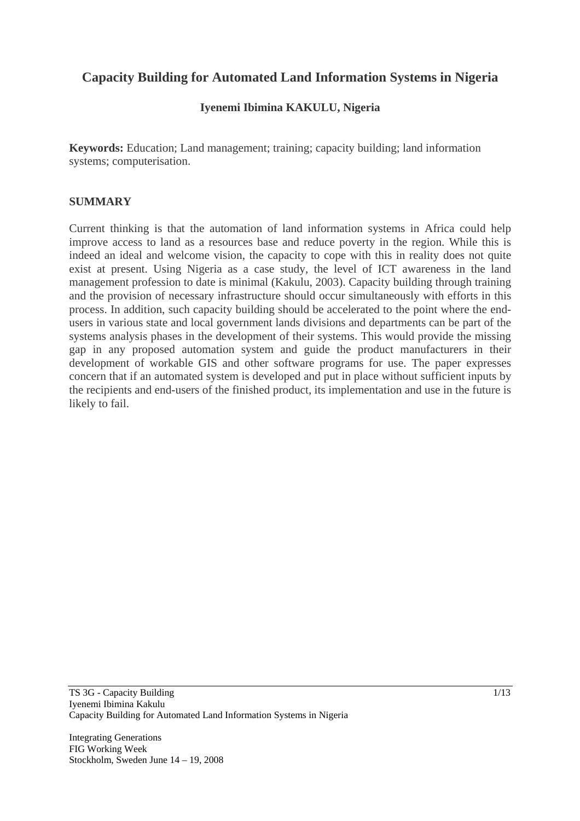# **Capacity Building for Automated Land Information Systems in Nigeria**

## **Iyenemi Ibimina KAKULU, Nigeria**

**Keywords:** Education; Land management; training; capacity building; land information systems; computerisation.

#### **SUMMARY**

Current thinking is that the automation of land information systems in Africa could help improve access to land as a resources base and reduce poverty in the region. While this is indeed an ideal and welcome vision, the capacity to cope with this in reality does not quite exist at present. Using Nigeria as a case study, the level of ICT awareness in the land management profession to date is minimal (Kakulu, 2003). Capacity building through training and the provision of necessary infrastructure should occur simultaneously with efforts in this process. In addition, such capacity building should be accelerated to the point where the endusers in various state and local government lands divisions and departments can be part of the systems analysis phases in the development of their systems. This would provide the missing gap in any proposed automation system and guide the product manufacturers in their development of workable GIS and other software programs for use. The paper expresses concern that if an automated system is developed and put in place without sufficient inputs by the recipients and end-users of the finished product, its implementation and use in the future is likely to fail.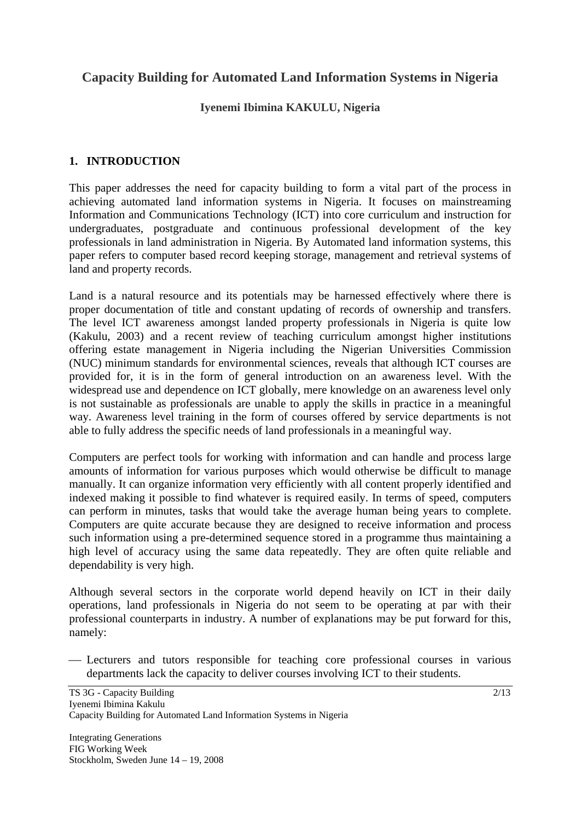# **Capacity Building for Automated Land Information Systems in Nigeria**

#### **Iyenemi Ibimina KAKULU, Nigeria**

#### **1. INTRODUCTION**

This paper addresses the need for capacity building to form a vital part of the process in achieving automated land information systems in Nigeria. It focuses on mainstreaming Information and Communications Technology (ICT) into core curriculum and instruction for undergraduates, postgraduate and continuous professional development of the key professionals in land administration in Nigeria. By Automated land information systems, this paper refers to computer based record keeping storage, management and retrieval systems of land and property records.

Land is a natural resource and its potentials may be harnessed effectively where there is proper documentation of title and constant updating of records of ownership and transfers. The level ICT awareness amongst landed property professionals in Nigeria is quite low (Kakulu, 2003) and a recent review of teaching curriculum amongst higher institutions offering estate management in Nigeria including the Nigerian Universities Commission (NUC) minimum standards for environmental sciences, reveals that although ICT courses are provided for, it is in the form of general introduction on an awareness level. With the widespread use and dependence on ICT globally, mere knowledge on an awareness level only is not sustainable as professionals are unable to apply the skills in practice in a meaningful way. Awareness level training in the form of courses offered by service departments is not able to fully address the specific needs of land professionals in a meaningful way.

Computers are perfect tools for working with information and can handle and process large amounts of information for various purposes which would otherwise be difficult to manage manually. It can organize information very efficiently with all content properly identified and indexed making it possible to find whatever is required easily. In terms of speed, computers can perform in minutes, tasks that would take the average human being years to complete. Computers are quite accurate because they are designed to receive information and process such information using a pre-determined sequence stored in a programme thus maintaining a high level of accuracy using the same data repeatedly. They are often quite reliable and dependability is very high.

Although several sectors in the corporate world depend heavily on ICT in their daily operations, land professionals in Nigeria do not seem to be operating at par with their professional counterparts in industry. A number of explanations may be put forward for this, namely:

⎯ Lecturers and tutors responsible for teaching core professional courses in various departments lack the capacity to deliver courses involving ICT to their students.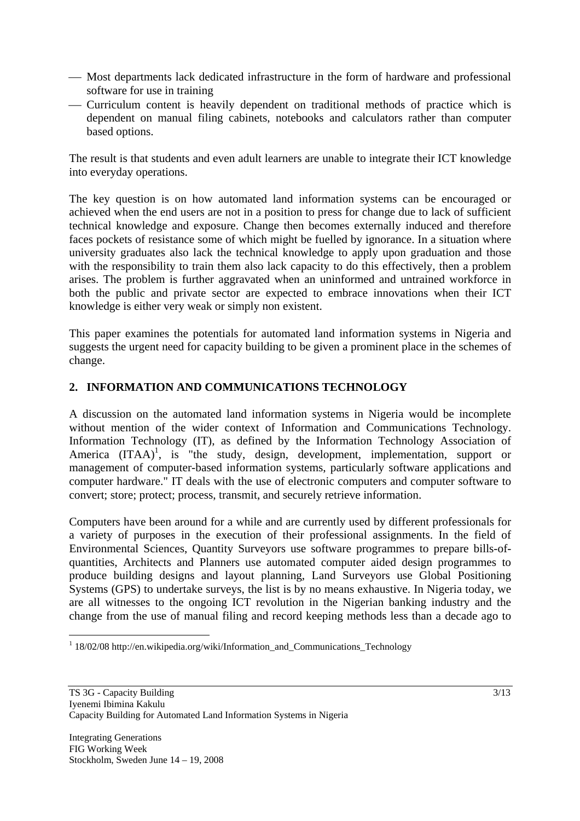- Most departments lack dedicated infrastructure in the form of hardware and professional software for use in training
- ⎯ Curriculum content is heavily dependent on traditional methods of practice which is dependent on manual filing cabinets, notebooks and calculators rather than computer based options.

The result is that students and even adult learners are unable to integrate their ICT knowledge into everyday operations.

The key question is on how automated land information systems can be encouraged or achieved when the end users are not in a position to press for change due to lack of sufficient technical knowledge and exposure. Change then becomes externally induced and therefore faces pockets of resistance some of which might be fuelled by ignorance. In a situation where university graduates also lack the technical knowledge to apply upon graduation and those with the responsibility to train them also lack capacity to do this effectively, then a problem arises. The problem is further aggravated when an uninformed and untrained workforce in both the public and private sector are expected to embrace innovations when their ICT knowledge is either very weak or simply non existent.

This paper examines the potentials for automated land information systems in Nigeria and suggests the urgent need for capacity building to be given a prominent place in the schemes of change.

## **2. INFORMATION AND COMMUNICATIONS TECHNOLOGY**

A discussion on the automated land information systems in Nigeria would be incomplete without mention of the wider context of Information and Communications Technology. Information Technology (IT), as defined by the Information Technology Association of America  $(ITAA)^1$ , is "the study, design, development, implementation, support or management of computer-based information systems, particularly software applications and computer hardware." IT deals with the use of electronic computers and computer software to convert; store; protect; process, transmit, and securely retrieve information.

Computers have been around for a while and are currently used by different professionals for a variety of purposes in the execution of their professional assignments. In the field of Environmental Sciences, Quantity Surveyors use software programmes to prepare bills-ofquantities, Architects and Planners use automated computer aided design programmes to produce building designs and layout planning, Land Surveyors use Global Positioning Systems (GPS) to undertake surveys, the list is by no means exhaustive. In Nigeria today, we are all witnesses to the ongoing ICT revolution in the Nigerian banking industry and the change from the use of manual filing and record keeping methods less than a decade ago to

 $\overline{a}$ 

<sup>&</sup>lt;sup>1</sup> 18/02/08 http://en.wikipedia.org/wiki/Information\_and\_Communications\_Technology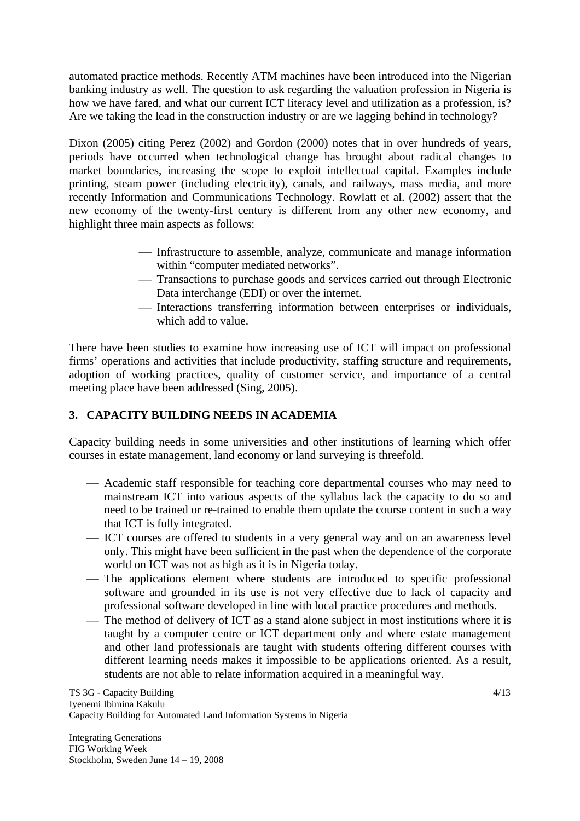automated practice methods. Recently ATM machines have been introduced into the Nigerian banking industry as well. The question to ask regarding the valuation profession in Nigeria is how we have fared, and what our current ICT literacy level and utilization as a profession, is? Are we taking the lead in the construction industry or are we lagging behind in technology?

Dixon (2005) citing Perez (2002) and Gordon (2000) notes that in over hundreds of years, periods have occurred when technological change has brought about radical changes to market boundaries, increasing the scope to exploit intellectual capital. Examples include printing, steam power (including electricity), canals, and railways, mass media, and more recently Information and Communications Technology. Rowlatt et al. (2002) assert that the new economy of the twenty-first century is different from any other new economy, and highlight three main aspects as follows:

- ⎯ Infrastructure to assemble, analyze, communicate and manage information within "computer mediated networks".
- ⎯ Transactions to purchase goods and services carried out through Electronic Data interchange (EDI) or over the internet.
- ⎯ Interactions transferring information between enterprises or individuals, which add to value.

There have been studies to examine how increasing use of ICT will impact on professional firms' operations and activities that include productivity, staffing structure and requirements, adoption of working practices, quality of customer service, and importance of a central meeting place have been addressed (Sing, 2005).

# **3. CAPACITY BUILDING NEEDS IN ACADEMIA**

Capacity building needs in some universities and other institutions of learning which offer courses in estate management, land economy or land surveying is threefold.

- Academic staff responsible for teaching core departmental courses who may need to mainstream ICT into various aspects of the syllabus lack the capacity to do so and need to be trained or re-trained to enable them update the course content in such a way that ICT is fully integrated.
- ⎯ ICT courses are offered to students in a very general way and on an awareness level only. This might have been sufficient in the past when the dependence of the corporate world on ICT was not as high as it is in Nigeria today.
- The applications element where students are introduced to specific professional software and grounded in its use is not very effective due to lack of capacity and professional software developed in line with local practice procedures and methods.
- The method of delivery of ICT as a stand alone subject in most institutions where it is taught by a computer centre or ICT department only and where estate management and other land professionals are taught with students offering different courses with different learning needs makes it impossible to be applications oriented. As a result, students are not able to relate information acquired in a meaningful way.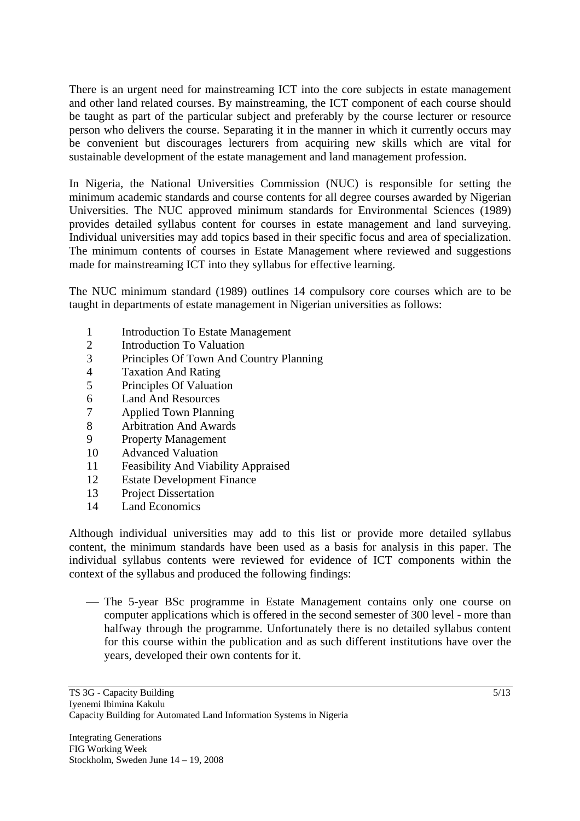There is an urgent need for mainstreaming ICT into the core subjects in estate management and other land related courses. By mainstreaming, the ICT component of each course should be taught as part of the particular subject and preferably by the course lecturer or resource person who delivers the course. Separating it in the manner in which it currently occurs may be convenient but discourages lecturers from acquiring new skills which are vital for sustainable development of the estate management and land management profession.

In Nigeria, the National Universities Commission (NUC) is responsible for setting the minimum academic standards and course contents for all degree courses awarded by Nigerian Universities. The NUC approved minimum standards for Environmental Sciences (1989) provides detailed syllabus content for courses in estate management and land surveying. Individual universities may add topics based in their specific focus and area of specialization. The minimum contents of courses in Estate Management where reviewed and suggestions made for mainstreaming ICT into they syllabus for effective learning.

The NUC minimum standard (1989) outlines 14 compulsory core courses which are to be taught in departments of estate management in Nigerian universities as follows:

- 1 Introduction To Estate Management
- 2 Introduction To Valuation
- 3 Principles Of Town And Country Planning
- 4 Taxation And Rating
- 5 Principles Of Valuation
- 6 Land And Resources
- 7 Applied Town Planning
- 8 Arbitration And Awards
- 9 Property Management
- 10 Advanced Valuation
- 11 Feasibility And Viability Appraised
- 12 Estate Development Finance
- 13 Project Dissertation
- 14 Land Economics

Although individual universities may add to this list or provide more detailed syllabus content, the minimum standards have been used as a basis for analysis in this paper. The individual syllabus contents were reviewed for evidence of ICT components within the context of the syllabus and produced the following findings:

— The 5-year BSc programme in Estate Management contains only one course on computer applications which is offered in the second semester of 300 level - more than halfway through the programme. Unfortunately there is no detailed syllabus content for this course within the publication and as such different institutions have over the years, developed their own contents for it.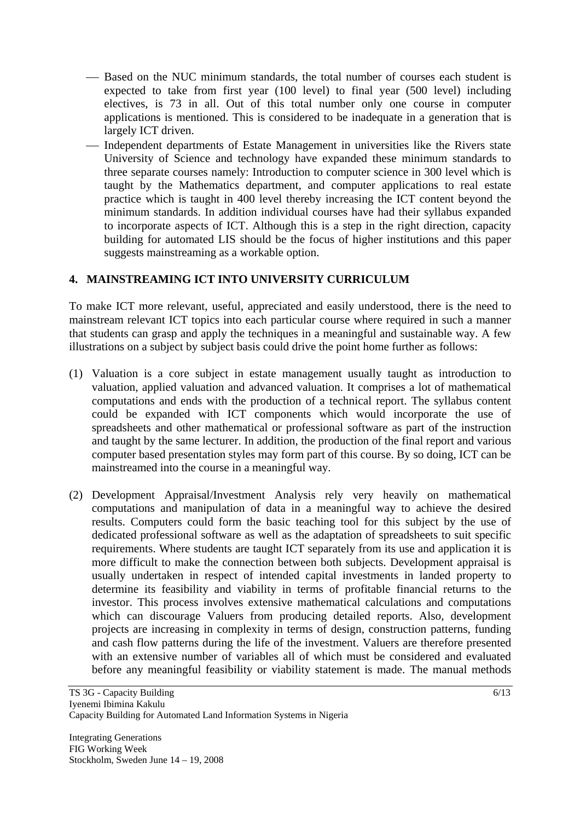- Based on the NUC minimum standards, the total number of courses each student is expected to take from first year (100 level) to final year (500 level) including electives, is 73 in all. Out of this total number only one course in computer applications is mentioned. This is considered to be inadequate in a generation that is largely ICT driven.
- Independent departments of Estate Management in universities like the Rivers state University of Science and technology have expanded these minimum standards to three separate courses namely: Introduction to computer science in 300 level which is taught by the Mathematics department, and computer applications to real estate practice which is taught in 400 level thereby increasing the ICT content beyond the minimum standards. In addition individual courses have had their syllabus expanded to incorporate aspects of ICT. Although this is a step in the right direction, capacity building for automated LIS should be the focus of higher institutions and this paper suggests mainstreaming as a workable option.

#### **4. MAINSTREAMING ICT INTO UNIVERSITY CURRICULUM**

To make ICT more relevant, useful, appreciated and easily understood, there is the need to mainstream relevant ICT topics into each particular course where required in such a manner that students can grasp and apply the techniques in a meaningful and sustainable way. A few illustrations on a subject by subject basis could drive the point home further as follows:

- (1) Valuation is a core subject in estate management usually taught as introduction to valuation, applied valuation and advanced valuation. It comprises a lot of mathematical computations and ends with the production of a technical report. The syllabus content could be expanded with ICT components which would incorporate the use of spreadsheets and other mathematical or professional software as part of the instruction and taught by the same lecturer. In addition, the production of the final report and various computer based presentation styles may form part of this course. By so doing, ICT can be mainstreamed into the course in a meaningful way.
- (2) Development Appraisal/Investment Analysis rely very heavily on mathematical computations and manipulation of data in a meaningful way to achieve the desired results. Computers could form the basic teaching tool for this subject by the use of dedicated professional software as well as the adaptation of spreadsheets to suit specific requirements. Where students are taught ICT separately from its use and application it is more difficult to make the connection between both subjects. Development appraisal is usually undertaken in respect of intended capital investments in landed property to determine its feasibility and viability in terms of profitable financial returns to the investor. This process involves extensive mathematical calculations and computations which can discourage Valuers from producing detailed reports. Also, development projects are increasing in complexity in terms of design, construction patterns, funding and cash flow patterns during the life of the investment. Valuers are therefore presented with an extensive number of variables all of which must be considered and evaluated before any meaningful feasibility or viability statement is made. The manual methods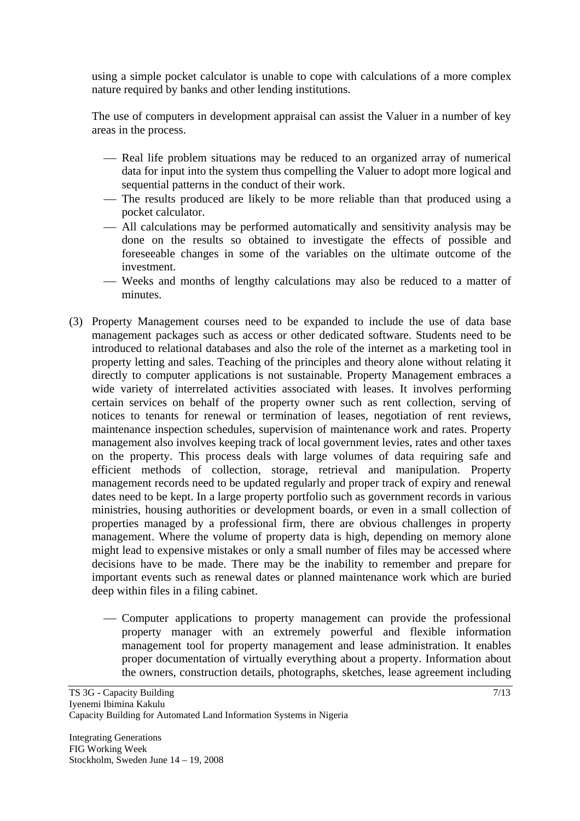using a simple pocket calculator is unable to cope with calculations of a more complex nature required by banks and other lending institutions.

The use of computers in development appraisal can assist the Valuer in a number of key areas in the process.

- Real life problem situations may be reduced to an organized array of numerical data for input into the system thus compelling the Valuer to adopt more logical and sequential patterns in the conduct of their work.
- The results produced are likely to be more reliable than that produced using a pocket calculator.
- ⎯ All calculations may be performed automatically and sensitivity analysis may be done on the results so obtained to investigate the effects of possible and foreseeable changes in some of the variables on the ultimate outcome of the investment.
- Weeks and months of lengthy calculations may also be reduced to a matter of minutes.
- (3) Property Management courses need to be expanded to include the use of data base management packages such as access or other dedicated software. Students need to be introduced to relational databases and also the role of the internet as a marketing tool in property letting and sales. Teaching of the principles and theory alone without relating it directly to computer applications is not sustainable. Property Management embraces a wide variety of interrelated activities associated with leases. It involves performing certain services on behalf of the property owner such as rent collection, serving of notices to tenants for renewal or termination of leases, negotiation of rent reviews, maintenance inspection schedules, supervision of maintenance work and rates. Property management also involves keeping track of local government levies, rates and other taxes on the property. This process deals with large volumes of data requiring safe and efficient methods of collection, storage, retrieval and manipulation. Property management records need to be updated regularly and proper track of expiry and renewal dates need to be kept. In a large property portfolio such as government records in various ministries, housing authorities or development boards, or even in a small collection of properties managed by a professional firm, there are obvious challenges in property management. Where the volume of property data is high, depending on memory alone might lead to expensive mistakes or only a small number of files may be accessed where decisions have to be made. There may be the inability to remember and prepare for important events such as renewal dates or planned maintenance work which are buried deep within files in a filing cabinet.
	- Computer applications to property management can provide the professional property manager with an extremely powerful and flexible information management tool for property management and lease administration. It enables proper documentation of virtually everything about a property. Information about the owners, construction details, photographs, sketches, lease agreement including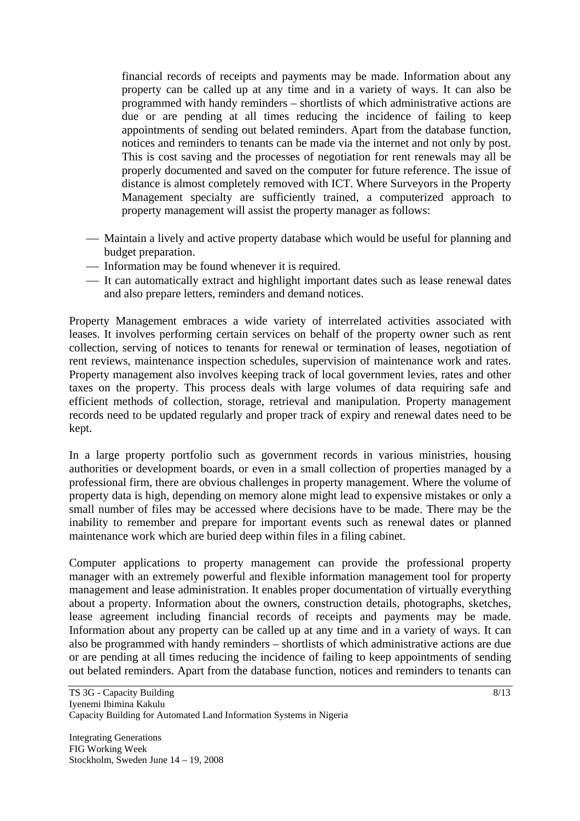financial records of receipts and payments may be made. Information about any property can be called up at any time and in a variety of ways. It can also be programmed with handy reminders – shortlists of which administrative actions are due or are pending at all times reducing the incidence of failing to keep appointments of sending out belated reminders. Apart from the database function, notices and reminders to tenants can be made via the internet and not only by post. This is cost saving and the processes of negotiation for rent renewals may all be properly documented and saved on the computer for future reference. The issue of distance is almost completely removed with ICT. Where Surveyors in the Property Management specialty are sufficiently trained, a computerized approach to property management will assist the property manager as follows:

- Maintain a lively and active property database which would be useful for planning and budget preparation.
- Information may be found whenever it is required.
- It can automatically extract and highlight important dates such as lease renewal dates and also prepare letters, reminders and demand notices.

Property Management embraces a wide variety of interrelated activities associated with leases. It involves performing certain services on behalf of the property owner such as rent collection, serving of notices to tenants for renewal or termination of leases, negotiation of rent reviews, maintenance inspection schedules, supervision of maintenance work and rates. Property management also involves keeping track of local government levies, rates and other taxes on the property. This process deals with large volumes of data requiring safe and efficient methods of collection, storage, retrieval and manipulation. Property management records need to be updated regularly and proper track of expiry and renewal dates need to be kept.

In a large property portfolio such as government records in various ministries, housing authorities or development boards, or even in a small collection of properties managed by a professional firm, there are obvious challenges in property management. Where the volume of property data is high, depending on memory alone might lead to expensive mistakes or only a small number of files may be accessed where decisions have to be made. There may be the inability to remember and prepare for important events such as renewal dates or planned maintenance work which are buried deep within files in a filing cabinet.

Computer applications to property management can provide the professional property manager with an extremely powerful and flexible information management tool for property management and lease administration. It enables proper documentation of virtually everything about a property. Information about the owners, construction details, photographs, sketches, lease agreement including financial records of receipts and payments may be made. Information about any property can be called up at any time and in a variety of ways. It can also be programmed with handy reminders – shortlists of which administrative actions are due or are pending at all times reducing the incidence of failing to keep appointments of sending out belated reminders. Apart from the database function, notices and reminders to tenants can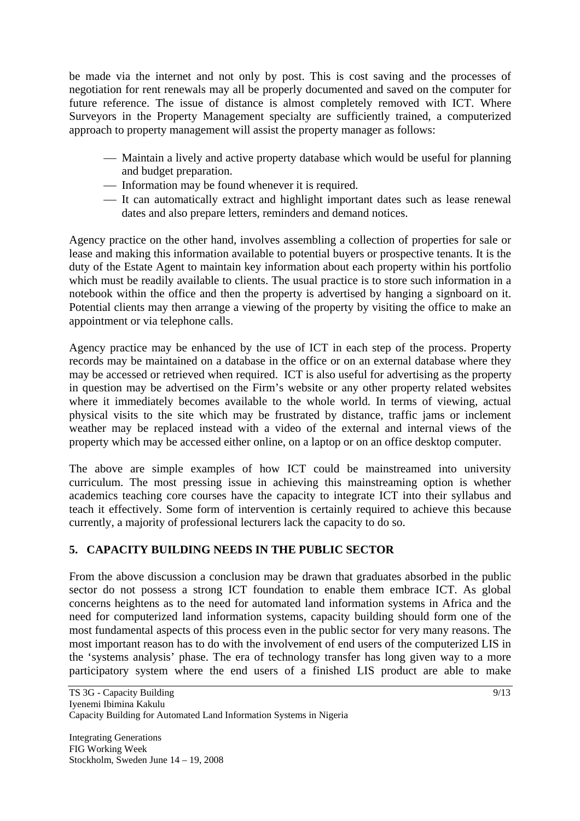be made via the internet and not only by post. This is cost saving and the processes of negotiation for rent renewals may all be properly documented and saved on the computer for future reference. The issue of distance is almost completely removed with ICT. Where Surveyors in the Property Management specialty are sufficiently trained, a computerized approach to property management will assist the property manager as follows:

- Maintain a lively and active property database which would be useful for planning and budget preparation.
- Information may be found whenever it is required.
- ⎯ It can automatically extract and highlight important dates such as lease renewal dates and also prepare letters, reminders and demand notices.

Agency practice on the other hand, involves assembling a collection of properties for sale or lease and making this information available to potential buyers or prospective tenants. It is the duty of the Estate Agent to maintain key information about each property within his portfolio which must be readily available to clients. The usual practice is to store such information in a notebook within the office and then the property is advertised by hanging a signboard on it. Potential clients may then arrange a viewing of the property by visiting the office to make an appointment or via telephone calls.

Agency practice may be enhanced by the use of ICT in each step of the process. Property records may be maintained on a database in the office or on an external database where they may be accessed or retrieved when required. ICT is also useful for advertising as the property in question may be advertised on the Firm's website or any other property related websites where it immediately becomes available to the whole world. In terms of viewing, actual physical visits to the site which may be frustrated by distance, traffic jams or inclement weather may be replaced instead with a video of the external and internal views of the property which may be accessed either online, on a laptop or on an office desktop computer.

The above are simple examples of how ICT could be mainstreamed into university curriculum. The most pressing issue in achieving this mainstreaming option is whether academics teaching core courses have the capacity to integrate ICT into their syllabus and teach it effectively. Some form of intervention is certainly required to achieve this because currently, a majority of professional lecturers lack the capacity to do so.

# **5. CAPACITY BUILDING NEEDS IN THE PUBLIC SECTOR**

From the above discussion a conclusion may be drawn that graduates absorbed in the public sector do not possess a strong ICT foundation to enable them embrace ICT. As global concerns heightens as to the need for automated land information systems in Africa and the need for computerized land information systems, capacity building should form one of the most fundamental aspects of this process even in the public sector for very many reasons. The most important reason has to do with the involvement of end users of the computerized LIS in the 'systems analysis' phase. The era of technology transfer has long given way to a more participatory system where the end users of a finished LIS product are able to make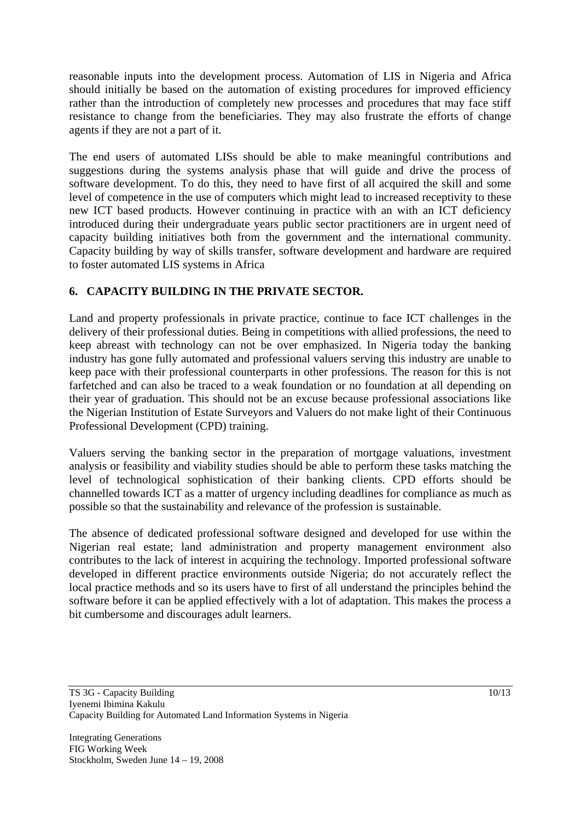reasonable inputs into the development process. Automation of LIS in Nigeria and Africa should initially be based on the automation of existing procedures for improved efficiency rather than the introduction of completely new processes and procedures that may face stiff resistance to change from the beneficiaries. They may also frustrate the efforts of change agents if they are not a part of it.

The end users of automated LISs should be able to make meaningful contributions and suggestions during the systems analysis phase that will guide and drive the process of software development. To do this, they need to have first of all acquired the skill and some level of competence in the use of computers which might lead to increased receptivity to these new ICT based products. However continuing in practice with an with an ICT deficiency introduced during their undergraduate years public sector practitioners are in urgent need of capacity building initiatives both from the government and the international community. Capacity building by way of skills transfer, software development and hardware are required to foster automated LIS systems in Africa

## **6. CAPACITY BUILDING IN THE PRIVATE SECTOR.**

Land and property professionals in private practice, continue to face ICT challenges in the delivery of their professional duties. Being in competitions with allied professions, the need to keep abreast with technology can not be over emphasized. In Nigeria today the banking industry has gone fully automated and professional valuers serving this industry are unable to keep pace with their professional counterparts in other professions. The reason for this is not farfetched and can also be traced to a weak foundation or no foundation at all depending on their year of graduation. This should not be an excuse because professional associations like the Nigerian Institution of Estate Surveyors and Valuers do not make light of their Continuous Professional Development (CPD) training.

Valuers serving the banking sector in the preparation of mortgage valuations, investment analysis or feasibility and viability studies should be able to perform these tasks matching the level of technological sophistication of their banking clients. CPD efforts should be channelled towards ICT as a matter of urgency including deadlines for compliance as much as possible so that the sustainability and relevance of the profession is sustainable.

The absence of dedicated professional software designed and developed for use within the Nigerian real estate; land administration and property management environment also contributes to the lack of interest in acquiring the technology. Imported professional software developed in different practice environments outside Nigeria; do not accurately reflect the local practice methods and so its users have to first of all understand the principles behind the software before it can be applied effectively with a lot of adaptation. This makes the process a bit cumbersome and discourages adult learners.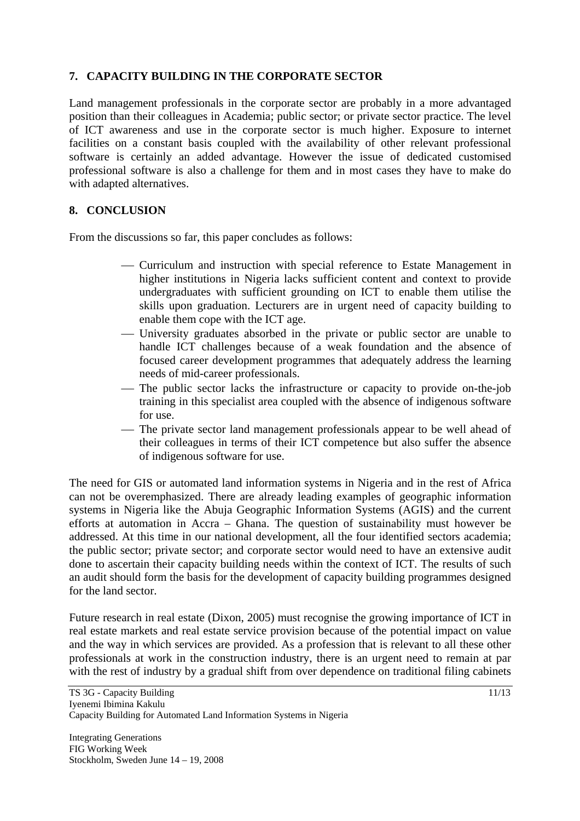#### **7. CAPACITY BUILDING IN THE CORPORATE SECTOR**

Land management professionals in the corporate sector are probably in a more advantaged position than their colleagues in Academia; public sector; or private sector practice. The level of ICT awareness and use in the corporate sector is much higher. Exposure to internet facilities on a constant basis coupled with the availability of other relevant professional software is certainly an added advantage. However the issue of dedicated customised professional software is also a challenge for them and in most cases they have to make do with adapted alternatives.

#### **8. CONCLUSION**

From the discussions so far, this paper concludes as follows:

- ⎯ Curriculum and instruction with special reference to Estate Management in higher institutions in Nigeria lacks sufficient content and context to provide undergraduates with sufficient grounding on ICT to enable them utilise the skills upon graduation. Lecturers are in urgent need of capacity building to enable them cope with the ICT age.
- ⎯ University graduates absorbed in the private or public sector are unable to handle ICT challenges because of a weak foundation and the absence of focused career development programmes that adequately address the learning needs of mid-career professionals.
- The public sector lacks the infrastructure or capacity to provide on-the-job training in this specialist area coupled with the absence of indigenous software for use.
- The private sector land management professionals appear to be well ahead of their colleagues in terms of their ICT competence but also suffer the absence of indigenous software for use.

The need for GIS or automated land information systems in Nigeria and in the rest of Africa can not be overemphasized. There are already leading examples of geographic information systems in Nigeria like the Abuja Geographic Information Systems (AGIS) and the current efforts at automation in Accra – Ghana. The question of sustainability must however be addressed. At this time in our national development, all the four identified sectors academia; the public sector; private sector; and corporate sector would need to have an extensive audit done to ascertain their capacity building needs within the context of ICT. The results of such an audit should form the basis for the development of capacity building programmes designed for the land sector.

Future research in real estate (Dixon, 2005) must recognise the growing importance of ICT in real estate markets and real estate service provision because of the potential impact on value and the way in which services are provided. As a profession that is relevant to all these other professionals at work in the construction industry, there is an urgent need to remain at par with the rest of industry by a gradual shift from over dependence on traditional filing cabinets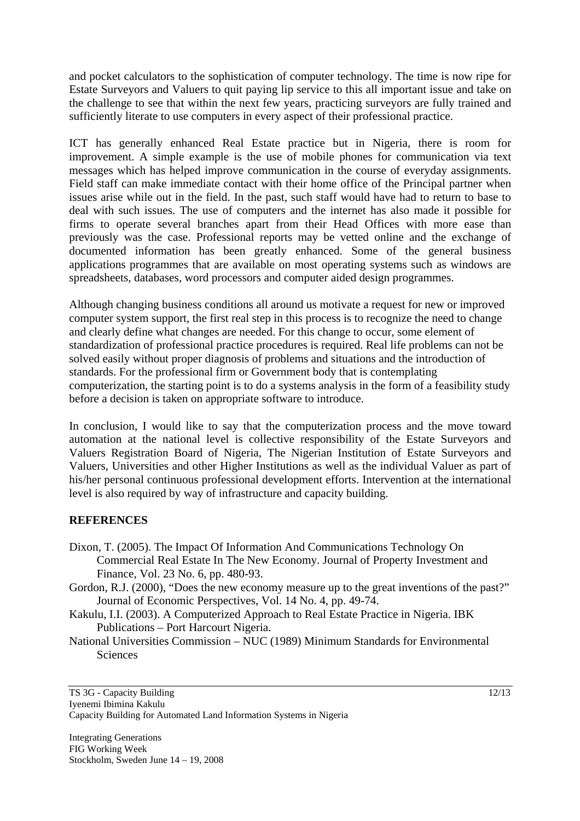and pocket calculators to the sophistication of computer technology. The time is now ripe for Estate Surveyors and Valuers to quit paying lip service to this all important issue and take on the challenge to see that within the next few years, practicing surveyors are fully trained and sufficiently literate to use computers in every aspect of their professional practice.

ICT has generally enhanced Real Estate practice but in Nigeria, there is room for improvement. A simple example is the use of mobile phones for communication via text messages which has helped improve communication in the course of everyday assignments. Field staff can make immediate contact with their home office of the Principal partner when issues arise while out in the field. In the past, such staff would have had to return to base to deal with such issues. The use of computers and the internet has also made it possible for firms to operate several branches apart from their Head Offices with more ease than previously was the case. Professional reports may be vetted online and the exchange of documented information has been greatly enhanced. Some of the general business applications programmes that are available on most operating systems such as windows are spreadsheets, databases, word processors and computer aided design programmes.

Although changing business conditions all around us motivate a request for new or improved computer system support, the first real step in this process is to recognize the need to change and clearly define what changes are needed. For this change to occur, some element of standardization of professional practice procedures is required. Real life problems can not be solved easily without proper diagnosis of problems and situations and the introduction of standards. For the professional firm or Government body that is contemplating computerization, the starting point is to do a systems analysis in the form of a feasibility study before a decision is taken on appropriate software to introduce.

In conclusion, I would like to say that the computerization process and the move toward automation at the national level is collective responsibility of the Estate Surveyors and Valuers Registration Board of Nigeria, The Nigerian Institution of Estate Surveyors and Valuers, Universities and other Higher Institutions as well as the individual Valuer as part of his/her personal continuous professional development efforts. Intervention at the international level is also required by way of infrastructure and capacity building.

#### **REFERENCES**

- Dixon, T. (2005). The Impact Of Information And Communications Technology On Commercial Real Estate In The New Economy. Journal of Property Investment and Finance, Vol. 23 No. 6, pp. 480-93.
- Gordon, R.J. (2000), "Does the new economy measure up to the great inventions of the past?" Journal of Economic Perspectives, Vol. 14 No. 4, pp. 49-74.

Kakulu, I.I. (2003). A Computerized Approach to Real Estate Practice in Nigeria. IBK Publications – Port Harcourt Nigeria.

National Universities Commission – NUC (1989) Minimum Standards for Environmental **Sciences**